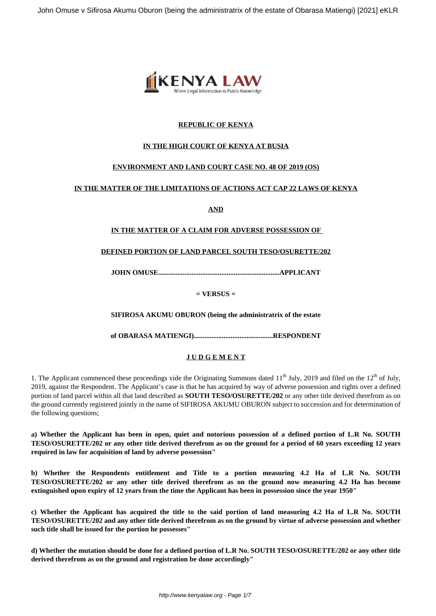

## **REPUBLIC OF KENYA**

## **IN THE HIGH COURT OF KENYA AT BUSIA**

# **ENVIRONMENT AND LAND COURT CASE NO. 48 OF 2019 (OS)**

### **IN THE MATTER OF THE LIMITATIONS OF ACTIONS ACT CAP 22 LAWS OF KENYA**

**AND**

# **IN THE MATTER OF A CLAIM FOR ADVERSE POSSESSION OF**

### **DEFINED PORTION OF LAND PARCEL SOUTH TESO/OSURETTE/202**

**JOHN OMUSE.....................................................................APPLICANT**

**= VERSUS =**

**SIFIROSA AKUMU OBURON (being the administratrix of the estate**

**of OBARASA MATIENGI).............................................RESPONDENT**

### **J U D G E M E N T**

1. The Applicant commenced these proceedings vide the Originating Summons dated  $11<sup>th</sup>$  July, 2019 and filed on the  $12<sup>th</sup>$  of July, 2019, against the Respondent. The Applicant's case is that he has acquired by way of adverse possession and rights over a defined portion of land parcel within all that land described as **SOUTH TESO/OSURETTE/202** or any other title derived therefrom as on the ground currently registered jointly in the name of SIFIROSA AKUMU OBURON subject to succession and for determination of the following questions;

**a) Whether the Applicant has been in open, quiet and notorious possession of a defined portion of L.R No. SOUTH TESO/OSURETTE/202 or any other title derived therefrom as on the ground for a period of 60 years exceeding 12 years required in law for acquisition of land by adverse possession"**

**b) Whether the Respondents entitlement and Title to a portion measuring 4.2 Ha of L.R No. SOUTH TESO/OSURETTE/202 or any other title derived therefrom as on the ground now measuring 4.2 Ha has become extinguished upon expiry of 12 years from the time the Applicant has been in possession since the year 1950"** 

**c) Whether the Applicant has acquired the title to the said portion of land measuring 4.2 Ha of L.R No. SOUTH TESO/OSURETTE/202 and any other title derived therefrom as on the ground by virtue of adverse possession and whether such title shall be issued for the portion he possesses"**

**d) Whether the mutation should be done for a defined portion of L.R No. SOUTH TESO/OSURETTE/202 or any other title derived therefrom as on the ground and registration be done accordingly"**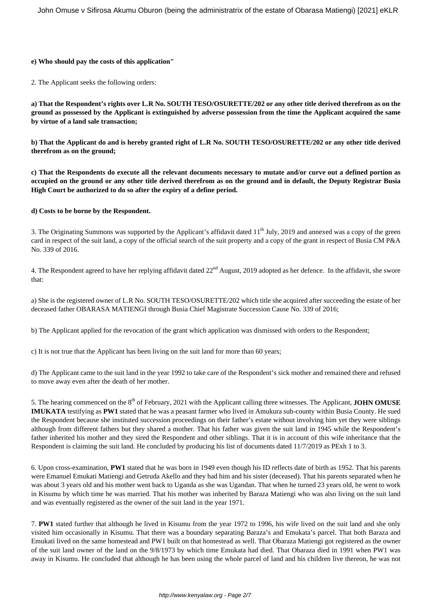#### **e) Who should pay the costs of this application"**

2. The Applicant seeks the following orders:

**a) That the Respondent's rights over L.R No. SOUTH TESO/OSURETTE/202 or any other title derived therefrom as on the ground as possessed by the Applicant is extinguished by adverse possession from the time the Applicant acquired the same by virtue of a land sale transaction;**

**b) That the Applicant do and is hereby granted right of L.R No. SOUTH TESO/OSURETTE/202 or any other title derived therefrom as on the ground;**

**c) That the Respondents do execute all the relevant documents necessary to mutate and/or curve out a defined portion as occupied on the ground or any other title derived therefrom as on the ground and in default, the Deputy Registrar Busia High Court be authorized to do so after the expiry of a define period.** 

#### **d) Costs to be borne by the Respondent.**

3. The Originating Summons was supported by the Applicant's affidavit dated 11<sup>th</sup> July, 2019 and annexed was a copy of the green card in respect of the suit land, a copy of the official search of the suit property and a copy of the grant in respect of Busia CM P&A No. 339 of 2016.

4. The Respondent agreed to have her replying affidavit dated 22<sup>nd</sup> August, 2019 adopted as her defence. In the affidavit, she swore that:

a) She is the registered owner of L.R No. SOUTH TESO/OSURETTE/202 which title she acquired after succeeding the estate of her deceased father OBARASA MATIENGI through Busia Chief Magistrate Succession Cause No. 339 of 2016;

b) The Applicant applied for the revocation of the grant which application was dismissed with orders to the Respondent;

c) It is not true that the Applicant has been living on the suit land for more than 60 years;

d) The Applicant came to the suit land in the year 1992 to take care of the Respondent's sick mother and remained there and refused to move away even after the death of her mother.

5. The hearing commenced on the 8<sup>th</sup> of February, 2021 with the Applicant calling three witnesses. The Applicant, **JOHN OMUSE IMUKATA** testifying as **PW1** stated that he was a peasant farmer who lived in Amukura sub-county within Busia County. He sued the Respondent because she instituted succession proceedings on their father's estate without involving him yet they were siblings although from different fathers but they shared a mother. That his father was given the suit land in 1945 while the Respondent's father inherited his mother and they sired the Respondent and other siblings. That it is in account of this wife inheritance that the Respondent is claiming the suit land. He concluded by producing his list of documents dated 11/7/2019 as PExh 1 to 3.

6. Upon cross-examination, **PW1** stated that he was born in 1949 even though his ID reflects date of birth as 1952. That his parents were Emanuel Emukati Matiengi and Getruda Akello and they had him and his sister (deceased). That his parents separated when he was about 3 years old and his mother went back to Uganda as she was Ugandan. That when he turned 23 years old, he went to work in Kisumu by which time he was married. That his mother was inherited by Baraza Matiengi who was also living on the suit land and was eventually registered as the owner of the suit land in the year 1971.

7. **PW1** stated further that although he lived in Kisumu from the year 1972 to 1996, his wife lived on the suit land and she only visited him occasionally in Kisumu. That there was a boundary separating Baraza's and Emukata's parcel. That both Baraza and Emukati lived on the same homestead and PW1 built on that homestead as well. That Obaraza Matiengi got registered as the owner of the suit land owner of the land on the 9/8/1973 by which time Emukata had died. That Obaraza died in 1991 when PW1 was away in Kisumu. He concluded that although he has been using the whole parcel of land and his children live thereon, he was not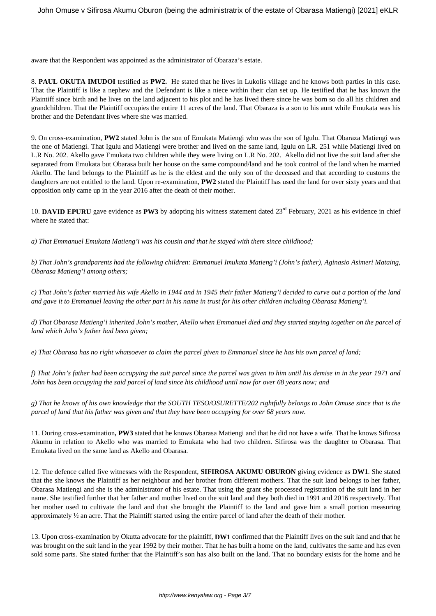aware that the Respondent was appointed as the administrator of Obaraza's estate.

8. **PAUL OKUTA IMUDOI** testified as **PW2.** He stated that he lives in Lukolis village and he knows both parties in this case. That the Plaintiff is like a nephew and the Defendant is like a niece within their clan set up. He testified that he has known the Plaintiff since birth and he lives on the land adjacent to his plot and he has lived there since he was born so do all his children and grandchildren. That the Plaintiff occupies the entire 11 acres of the land. That Obaraza is a son to his aunt while Emukata was his brother and the Defendant lives where she was married.

9. On cross-examination, **PW2** stated John is the son of Emukata Matiengi who was the son of Igulu. That Obaraza Matiengi was the one of Matiengi. That Igulu and Matiengi were brother and lived on the same land, Igulu on LR. 251 while Matiengi lived on L.R No. 202. Akello gave Emukata two children while they were living on L.R No. 202. Akello did not live the suit land after she separated from Emukata but Obarasa built her house on the same compound/land and he took control of the land when he married Akello. The land belongs to the Plaintiff as he is the eldest and the only son of the deceased and that according to customs the daughters are not entitled to the land. Upon re-examination, **PW2** stated the Plaintiff has used the land for over sixty years and that opposition only came up in the year 2016 after the death of their mother.

10. **DAVID EPURU** gave evidence as **PW3** by adopting his witness statement dated 23<sup>rd</sup> February, 2021 as his evidence in chief where he stated that:

*a) That Emmanuel Emukata Matieng'i was his cousin and that he stayed with them since childhood;*

*b) That John's grandparents had the following children: Emmanuel Imukata Matieng'i (John's father), Aginasio Asimeri Mataing, Obarasa Matieng'i among others;*

*c) That John's father married his wife Akello in 1944 and in 1945 their father Matieng'i decided to curve out a portion of the land and gave it to Emmanuel leaving the other part in his name in trust for his other children including Obarasa Matieng'i.*

*d) That Obarasa Matieng'i inherited John's mother, Akello when Emmanuel died and they started staying together on the parcel of land which John's father had been given;*

*e) That Obarasa has no right whatsoever to claim the parcel given to Emmanuel since he has his own parcel of land;*

*f) That John's father had been occupying the suit parcel since the parcel was given to him until his demise in in the year 1971 and John has been occupying the said parcel of land since his childhood until now for over 68 years now; and*

*g) That he knows of his own knowledge that the SOUTH TESO/OSURETTE/202 rightfully belongs to John Omuse since that is the parcel of land that his father was given and that they have been occupying for over 68 years now.* 

11. During cross-examination**, PW3** stated that he knows Obarasa Matiengi and that he did not have a wife. That he knows Sifirosa Akumu in relation to Akello who was married to Emukata who had two children. Sifirosa was the daughter to Obarasa. That Emukata lived on the same land as Akello and Obarasa.

12. The defence called five witnesses with the Respondent, **SIFIROSA AKUMU OBURON** giving evidence as **DW1**. She stated that the she knows the Plaintiff as her neighbour and her brother from different mothers. That the suit land belongs to her father, Obarasa Matiengi and she is the administrator of his estate. That using the grant she processed registration of the suit land in her name. She testified further that her father and mother lived on the suit land and they both died in 1991 and 2016 respectively. That her mother used to cultivate the land and that she brought the Plaintiff to the land and gave him a small portion measuring approximately ½ an acre. That the Plaintiff started using the entire parcel of land after the death of their mother.

13. Upon cross-examination by Okutta advocate for the plaintiff, **DW1** confirmed that the Plaintiff lives on the suit land and that he was brought on the suit land in the year 1992 by their mother. That he has built a home on the land, cultivates the same and has even sold some parts. She stated further that the Plaintiff's son has also built on the land. That no boundary exists for the home and he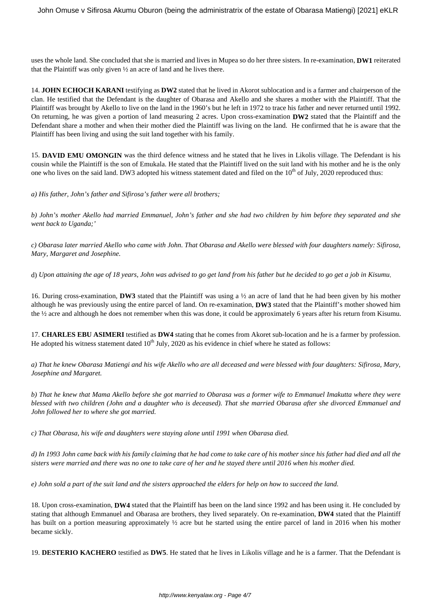uses the whole land. She concluded that she is married and lives in Mupea so do her three sisters. In re-examination, **DW1** reiterated that the Plaintiff was only given ½ an acre of land and he lives there.

14. **JOHN ECHOCH KARANI** testifying as **DW2** stated that he lived in Akorot sublocation and is a farmer and chairperson of the clan. He testified that the Defendant is the daughter of Obarasa and Akello and she shares a mother with the Plaintiff. That the Plaintiff was brought by Akello to live on the land in the 1960's but he left in 1972 to trace his father and never returned until 1992. On returning, he was given a portion of land measuring 2 acres. Upon cross-examination **DW2** stated that the Plaintiff and the Defendant share a mother and when their mother died the Plaintiff was living on the land. He confirmed that he is aware that the Plaintiff has been living and using the suit land together with his family.

15. **DAVID EMU OMONGIN** was the third defence witness and he stated that he lives in Likolis village. The Defendant is his cousin while the Plaintiff is the son of Emukala. He stated that the Plaintiff lived on the suit land with his mother and he is the only one who lives on the said land. DW3 adopted his witness statement dated and filed on the  $10^{th}$  of July, 2020 reproduced thus:

*a) His father, John's father and Sifirosa's father were all brothers;*

*b) John's mother Akello had married Emmanuel, John's father and she had two children by him before they separated and she went back to Uganda;'*

*c) Obarasa later married Akello who came with John. That Obarasa and Akello were blessed with four daughters namely: Sifirosa, Mary, Margaret and Josephine.*

d) *Upon attaining the age of 18 years, John was advised to go get land from his father but he decided to go get a job in Kisumu*.

16. During cross-examination, **DW3** stated that the Plaintiff was using a ½ an acre of land that he had been given by his mother although he was previously using the entire parcel of land. On re-examination, **DW3** stated that the Plaintiff's mother showed him the ½ acre and although he does not remember when this was done, it could be approximately 6 years after his return from Kisumu.

17. **CHARLES EBU ASIMERI** testified as **DW4** stating that he comes from Akoret sub-location and he is a farmer by profession. He adopted his witness statement dated  $10<sup>th</sup>$  July, 2020 as his evidence in chief where he stated as follows:

*a) That he knew Obarasa Matiengi and his wife Akello who are all deceased and were blessed with four daughters: Sifirosa, Mary, Josephine and Margaret.*

*b) That he knew that Mama Akello before she got married to Obarasa was a former wife to Emmanuel Imakutta where they were blessed with two children (John and a daughter who is deceased). That she married Obarasa after she divorced Emmanuel and John followed her to where she got married.*

*c) That Obarasa, his wife and daughters were staying alone until 1991 when Obarasa died.* 

*d) In 1993 John came back with his family claiming that he had come to take care of his mother since his father had died and all the sisters were married and there was no one to take care of her and he stayed there until 2016 when his mother died.*

*e) John sold a part of the suit land and the sisters approached the elders for help on how to succeed the land.*

18. Upon cross-examination, **DW4** stated that the Plaintiff has been on the land since 1992 and has been using it. He concluded by stating that although Emmanuel and Obarasa are brothers, they lived separately. On re-examination, **DW4** stated that the Plaintiff has built on a portion measuring approximately ½ acre but he started using the entire parcel of land in 2016 when his mother became sickly.

19. **DESTERIO KACHERO** testified as **DW5**. He stated that he lives in Likolis village and he is a farmer. That the Defendant is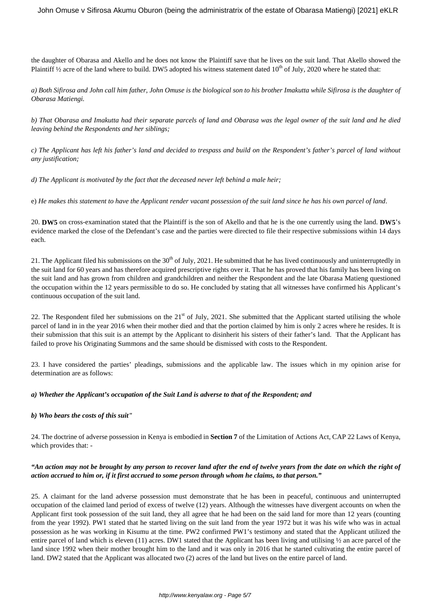the daughter of Obarasa and Akello and he does not know the Plaintiff save that he lives on the suit land. That Akello showed the Plaintiff  $\frac{1}{2}$  acre of the land where to build. DW5 adopted his witness statement dated 10<sup>th</sup> of July, 2020 where he stated that:

*a) Both Sifirosa and John call him father, John Omuse is the biological son to his brother Imakutta while Sifirosa is the daughter of Obarasa Matiengi.*

*b) That Obarasa and Imakutta had their separate parcels of land and Obarasa was the legal owner of the suit land and he died leaving behind the Respondents and her siblings;*

*c) The Applicant has left his father's land and decided to trespass and build on the Respondent's father's parcel of land without any justification;*

*d) The Applicant is motivated by the fact that the deceased never left behind a male heir;*

e) *He makes this statement to have the Applicant render vacant possession of the suit land since he has his own parcel of land*.

20. **DW5** on cross-examination stated that the Plaintiff is the son of Akello and that he is the one currently using the land. **DW5**'s evidence marked the close of the Defendant's case and the parties were directed to file their respective submissions within 14 days each.

21. The Applicant filed his submissions on the  $30<sup>th</sup>$  of July, 2021. He submitted that he has lived continuously and uninterruptedly in the suit land for 60 years and has therefore acquired prescriptive rights over it. That he has proved that his family has been living on the suit land and has grown from children and grandchildren and neither the Respondent and the late Obarasa Matieng questioned the occupation within the 12 years permissible to do so. He concluded by stating that all witnesses have confirmed his Applicant's continuous occupation of the suit land.

22. The Respondent filed her submissions on the  $21<sup>st</sup>$  of July, 2021. She submitted that the Applicant started utilising the whole parcel of land in in the year 2016 when their mother died and that the portion claimed by him is only 2 acres where he resides. It is their submission that this suit is an attempt by the Applicant to disinherit his sisters of their father's land. That the Applicant has failed to prove his Originating Summons and the same should be dismissed with costs to the Respondent.

23. I have considered the parties' pleadings, submissions and the applicable law. The issues which in my opinion arise for determination are as follows:

#### *a) Whether the Applicant's occupation of the Suit Land is adverse to that of the Respondent; and*

#### *b) Who bears the costs of this suit"*

24. The doctrine of adverse possession in Kenya is embodied in **Section 7** of the Limitation of Actions Act, CAP 22 Laws of Kenya, which provides that: -

### *"An action may not be brought by any person to recover land after the end of twelve years from the date on which the right of action accrued to him or, if it first accrued to some person through whom he claims, to that person."*

25. A claimant for the land adverse possession must demonstrate that he has been in peaceful, continuous and uninterrupted occupation of the claimed land period of excess of twelve (12) years. Although the witnesses have divergent accounts on when the Applicant first took possession of the suit land, they all agree that he had been on the said land for more than 12 years (counting from the year 1992). PW1 stated that he started living on the suit land from the year 1972 but it was his wife who was in actual possession as he was working in Kisumu at the time. PW2 confirmed PW1's testimony and stated that the Applicant utilized the entire parcel of land which is eleven (11) acres. DW1 stated that the Applicant has been living and utilising  $\frac{1}{2}$  an acre parcel of the land since 1992 when their mother brought him to the land and it was only in 2016 that he started cultivating the entire parcel of land. DW2 stated that the Applicant was allocated two (2) acres of the land but lives on the entire parcel of land.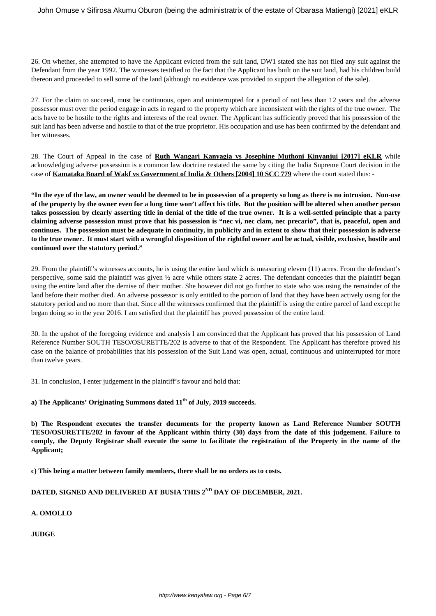26. On whether, she attempted to have the Applicant evicted from the suit land, DW1 stated she has not filed any suit against the Defendant from the year 1992. The witnesses testified to the fact that the Applicant has built on the suit land, had his children build thereon and proceeded to sell some of the land (although no evidence was provided to support the allegation of the sale).

27. For the claim to succeed, must be continuous, open and uninterrupted for a period of not less than 12 years and the adverse possessor must over the period engage in acts in regard to the property which are inconsistent with the rights of the true owner. The acts have to be hostile to the rights and interests of the real owner. The Applicant has sufficiently proved that his possession of the suit land has been adverse and hostile to that of the true proprietor. His occupation and use has been confirmed by the defendant and her witnesses.

28. The Court of Appeal in the case of **Ruth Wangari Kanyagia vs Josephine Muthoni Kinyanjui [2017] eKLR** while acknowledging adverse possession is a common law doctrine restated the same by citing the India Supreme Court decision in the case of **Kamataka Board of Wakf vs Government of India & Others [2004] 10 SCC 779** where the court stated thus: -

**"In the eye of the law, an owner would be deemed to be in possession of a property so long as there is no intrusion. Non-use of the property by the owner even for a long time won't affect his title. But the position will be altered when another person takes possession by clearly asserting title in denial of the title of the true owner. It is a well-settled principle that a party claiming adverse possession must prove that his possession is "nec vi, nec clam, nec precario", that is, peaceful, open and continues. The possession must be adequate in continuity, in publicity and in extent to show that their possession is adverse to the true owner. It must start with a wrongful disposition of the rightful owner and be actual, visible, exclusive, hostile and continued over the statutory period."**

29. From the plaintiff's witnesses accounts, he is using the entire land which is measuring eleven (11) acres. From the defendant's perspective, some said the plaintiff was given ½ acre while others state 2 acres. The defendant concedes that the plaintiff began using the entire land after the demise of their mother. She however did not go further to state who was using the remainder of the land before their mother died. An adverse possessor is only entitled to the portion of land that they have been actively using for the statutory period and no more than that. Since all the witnesses confirmed that the plaintiff is using the entire parcel of land except he began doing so in the year 2016. I am satisfied that the plaintiff has proved possession of the entire land.

30. In the upshot of the foregoing evidence and analysis I am convinced that the Applicant has proved that his possession of Land Reference Number SOUTH TESO/OSURETTE/202 is adverse to that of the Respondent. The Applicant has therefore proved his case on the balance of probabilities that his possession of the Suit Land was open, actual, continuous and uninterrupted for more than twelve years.

31. In conclusion, I enter judgement in the plaintiff's favour and hold that:

**a) The Applicants' Originating Summons dated 11th of July, 2019 succeeds.** 

**b) The Respondent executes the transfer documents for the property known as Land Reference Number SOUTH TESO/OSURETTE/202 in favour of the Applicant within thirty (30) days from the date of this judgement. Failure to comply, the Deputy Registrar shall execute the same to facilitate the registration of the Property in the name of the Applicant;** 

**c) This being a matter between family members, there shall be no orders as to costs.** 

# DATED, SIGNED AND DELIVERED AT BUSIA THIS 2<sup>ND</sup> DAY OF DECEMBER, 2021.

### **A. OMOLLO**

**JUDGE**